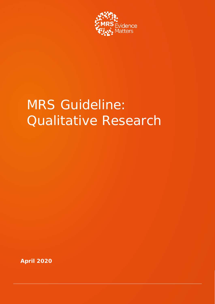

# MRS Guideline: Qualitative Research

**April 2020**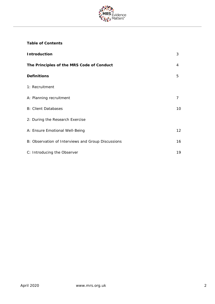

# **Table of Contents**

| <b>Introduction</b>                                | 3  |
|----------------------------------------------------|----|
| The Principles of the MRS Code of Conduct          | 4  |
| <b>Definitions</b>                                 | 5  |
| 1: Recruitment                                     |    |
| A: Planning recruitment                            | 7  |
| <b>B: Client Databases</b>                         | 10 |
| 2: During the Research Exercise                    |    |
| A: Ensure Emotional Well-Being                     | 12 |
| B: Observation of Interviews and Group Discussions | 16 |
| C: Introducing the Observer                        | 19 |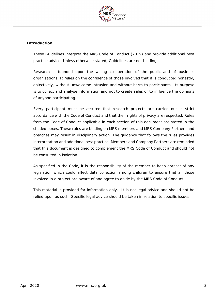

## **Introduction**

These Guidelines interpret the MRS Code of Conduct (2019) and provide additional best practice advice. Unless otherwise stated, Guidelines are not binding.

Research is founded upon the willing co-operation of the public and of business organisations. It relies on the confidence of those involved that it is conducted honestly, objectively, without unwelcome intrusion and without harm to participants. Its purpose is to collect and analyse information and not to create sales or to influence the opinions of anyone participating.

Every participant must be assured that research projects are carried out in strict accordance with the Code of Conduct and that their rights of privacy are respected. Rules from the Code of Conduct applicable in each section of this document are stated in the shaded boxes. These rules are binding on MRS members and MRS Company Partners and breaches may result in disciplinary action. The guidance that follows the rules provides interpretation and additional best practice. Members and Company Partners are reminded that this document is designed to complement the MRS Code of Conduct and should not be consulted in isolation.

As specified in the Code, it is the responsibility of the member to keep abreast of any legislation which could affect data collection among children to ensure that all those involved in a project are aware of and agree to abide by the MRS Code of Conduct.

This material is provided for information only. It is not legal advice and should not be relied upon as such. Specific legal advice should be taken in relation to specific issues.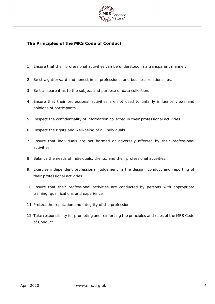

# **The Principles of the MRS Code of Conduct**

- 1. Ensure that their professional activities can be understood in a transparent manner.
- 2. Be straightforward and honest in all professional and business relationships.
- 3. Be transparent as to the subject and purpose of data collection.
- 4. Ensure that their professional activities are not used to unfairly influence views and opinions of participants.
- 5. Respect the confidentiality of information collected in their professional activities.
- 6. Respect the rights and well-being of all individuals.
- 7. Ensure that individuals are not harmed or adversely affected by their professional activities.
- 8. Balance the needs of individuals, clients, and their professional activities.
- 9. Exercise independent professional judgement in the design, conduct and reporting of their professional activities.
- 10. Ensure that their professional activities are conducted by persons with appropriate training, qualifications and experience.
- 11. Protect the reputation and integrity of the profession.
- 12. Take responsibility for promoting and reinforcing the principles and rules of the MRS Code of Conduct.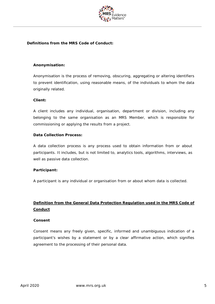

# **Definitions from the MRS Code of Conduct:**

#### **Anonymisation:**

Anonymisation is the process of removing, obscuring, aggregating or altering identifiers to prevent identification, using reasonable means, of the individuals to whom the data originally related.

#### **Client:**

A client includes any individual, organisation, department or division, including any belonging to the same organisation as an MRS Member, which is responsible for commissioning or applying the results from a project.

#### **Data Collection Process:**

A data collection process is any process used to obtain information from or about participants. It includes, but is not limited to, analytics tools, algorithms, interviews, as well as passive data collection.

#### **Participant:**

A participant is any individual or organisation from or about whom data is collected.

# **Definition from the General Data Protection Regulation used in the MRS Code of Conduct**

#### **Consent**

Consent means any freely given, specific, informed and unambiguous indication of a participant's wishes by a statement or by a clear affirmative action, which signifies agreement to the processing of their personal data.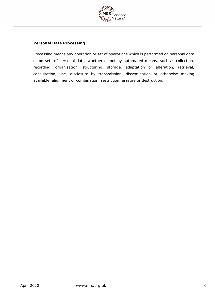

#### **Personal Data Processing**

Processing means any operation or set of operations which is performed on personal data or on sets of personal data, whether or not by automated means, such as collection, recording, organisation, structuring, storage, adaptation or alteration, retrieval, consultation, use, disclosure by transmission, dissemination or otherwise making available, alignment or combination, restriction, erasure or destruction.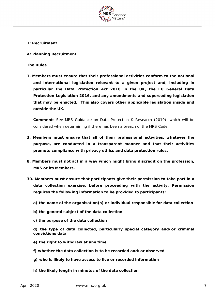

#### **1: Recruitment**

#### **A: Planning Recruitment**

**The Rules**

**1. Members must ensure that their professional activities conform to the national and international legislation relevant to a given project and, including in particular the Data Protection Act 2018 in the UK, the EU General Data Protection Legislation 2016, and any amendments and superseding legislation that may be enacted. This also covers other applicable legislation inside and outside the UK.**

**Comment**: See MRS Guidance on Data Protection & Research (2019), which will be considered when determining if there has been a breach of the MRS Code.

- **3. Members must ensure that all of their professional activities, whatever the purpose, are conducted in a transparent manner and that their activities promote compliance with privacy ethics and data protection rules.**
- **8. Members must not act in a way which might bring discredit on the profession, MRS or its Members.**
- **30. Members must ensure that participants give their permission to take part in a data collection exercise, before proceeding with the activity. Permission requires the following information to be provided to participants:**
	- **a) the name of the organisation(s) or individual responsible for data collection**
	- **b) the general subject of the data collection**
	- **c) the purpose of the data collection**
	- **d) the type of data collected, particularly special category and/or criminal convictions data**
	- **e) the right to withdraw at any time**
	- **f) whether the data collection is to be recorded and/or observed**
	- **g) who is likely to have access to live or recorded information**
	- **h) the likely length in minutes of the data collection**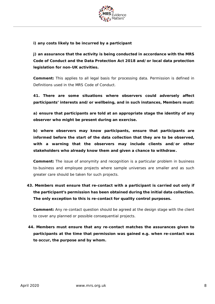

**i) any costs likely to be incurred by a participant**

**j) an assurance that the activity is being conducted in accordance with the MRS Code of Conduct and the Data Protection Act 2018 and/or local data protection legislation for non-UK activities.**

**Comment:** This applies to all legal basis for processing data. Permission is defined in Definitions used in the MRS Code of Conduct.

**41. There are some situations where observers could adversely affect participants' interests and/or wellbeing, and in such instances, Members must:**

**a) ensure that participants are told at an appropriate stage the identity of any observer who might be present during an exercise.**

**b) where observers may know participants, ensure that participants are informed before the start of the data collection that they are to be observed, with a warning that the observers may include clients and/or other stakeholders who already know them and given a chance to withdraw.**

**Comment:** The issue of anonymity and recognition is a particular problem in business to-business and employee projects where sample universes are smaller and as such greater care should be taken for such projects.

# **43. Members must ensure that re-contact with a participant is carried out only if the participant's permission has been obtained during the initial data collection. The only exception to this is re-contact for quality control purposes.**

**Comment:** Any re-contact question should be agreed at the design stage with the client to cover any planned or possible consequential projects.

**44. Members must ensure that any re-contact matches the assurances given to participants at the time that permission was gained e.g. when re-contact was to occur, the purpose and by whom.**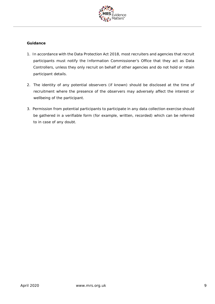

- 1. In accordance with the Data Protection Act 2018, most recruiters and agencies that recruit participants must notify the Information Commissioner's Office that they act as Data Controllers, unless they only recruit on behalf of other agencies and do not hold or retain participant details.
- 2. The identity of any potential observers (if known) should be disclosed at the time of recruitment where the presence of the observers may adversely affect the interest or wellbeing of the participant.
- 3. Permission from potential participants to participate in any data collection exercise should be gathered in a verifiable form (for example, written, recorded) which can be referred to in case of any doubt.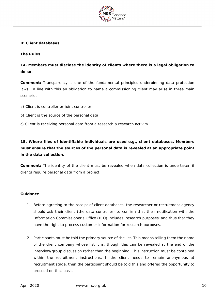

#### **B: Client databases**

#### **The Rules**

**14. Members must disclose the identity of clients where there is a legal obligation to do so.**

**Comment:** Transparency is one of the fundamental principles underpinning data protection laws. In line with this an obligation to name a commissioning client may arise in three main scenarios:

- a) Client is controller or joint controller
- b) Client is the source of the personal data
- c) Client is receiving personal data from a research a research activity.

**15. Where files of identifiable individuals are used e.g., client databases, Members must ensure that the sources of the personal data is revealed at an appropriate point in the data collection.**

**Comment:** The identity of the client must be revealed when data collection is undertaken if clients require personal data from a project.

- 1. Before agreeing to the receipt of client databases, the researcher or recruitment agency should ask their client (the data controller) to confirm that their notification with the Information Commissioner's Office (ICO) includes 'research purposes' and thus that they have the right to process customer information for research purposes.
- 2. Participants must be told the primary source of the list. This means telling them the name of the client company whose list it is, though this can be revealed at the end of the interview/group discussion rather than the beginning. This instruction must be contained within the recruitment instructions. If the client needs to remain anonymous at recruitment stage, then the participant should be told this and offered the opportunity to proceed on that basis.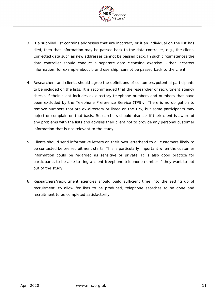

- 3. If a supplied list contains addresses that are incorrect, or if an individual on the list has died, then that information may be passed back to the data controller, e.g., the client. Corrected data such as new addresses cannot be passed back. In such circumstances the data controller should conduct a separate data cleansing exercise. Other incorrect information, for example about brand usership, cannot be passed back to the client.
- 4. Researchers and clients should agree the definitions of customers/potential participants to be included on the lists. It is recommended that the researcher or recruitment agency checks if their client includes ex-directory telephone numbers and numbers that have been excluded by the Telephone Preference Service (TPS). There is no obligation to remove numbers that are ex-directory or listed on the TPS, but some participants may object or complain on that basis. Researchers should also ask if their client is aware of any problems with the lists and advises their client not to provide any personal customer information that is not relevant to the study.
- 5. Clients should send informative letters on their own letterhead to all customers likely to be contacted before recruitment starts. This is particularly important when the customer information could be regarded as sensitive or private. It is also good practice for participants to be able to ring a client freephone telephone number if they want to opt out of the study.
- 6. Researchers/recruitment agencies should build sufficient time into the setting up of recruitment, to allow for lists to be produced, telephone searches to be done and recruitment to be completed satisfactorily.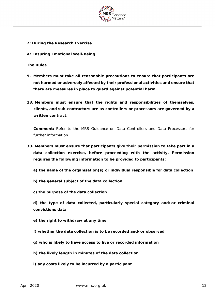

- **2: During the Research Exercise**
- **A: Ensuring Emotional Well-Being**

**The Rules**

- **9. Members must take all reasonable precautions to ensure that participants are not harmed or adversely affected by their professional activities and ensure that there are measures in place to guard against potential harm.**
- **13. Members must ensure that the rights and responsibilities of themselves, clients, and sub-contractors are as controllers or processors are governed by a written contract.**

**Comment:** Refer to the MRS Guidance on Data Controllers and Data Processors for further information.

- **30. Members must ensure that participants give their permission to take part in a data collection exercise, before proceeding with the activity. Permission requires the following information to be provided to participants:**
	- **a) the name of the organisation(s) or individual responsible for data collection**
	- **b) the general subject of the data collection**
	- **c) the purpose of the data collection**

**d) the type of data collected, particularly special category and/or criminal convictions data**

- **e) the right to withdraw at any time**
- **f) whether the data collection is to be recorded and/or observed**
- **g) who is likely to have access to live or recorded information**
- **h) the likely length in minutes of the data collection**
- **i) any costs likely to be incurred by a participant**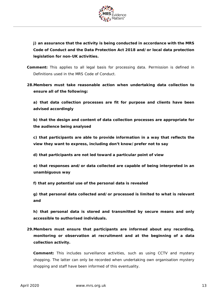

**j) an assurance that the activity is being conducted in accordance with the MRS Code of Conduct and the Data Protection Act 2018 and/or local data protection legislation for non-UK activities.**

- **Comment:** This applies to all legal basis for processing data. Permission is defined in Definitions used in the MRS Code of Conduct.
- **28.Members must take reasonable action when undertaking data collection to ensure all of the following:**

**a) that data collection processes are fit for purpose and clients have been advised accordingly**

**b) that the design and content of data collection processes are appropriate for the audience being analysed**

**c) that participants are able to provide information in a way that reflects the view they want to express, including don't know/prefer not to say**

**d) that participants are not led toward a particular point of view**

**e) that responses and/or data collected are capable of being interpreted in an unambiguous way**

**f) that any potential use of the personal data is revealed**

**g) that personal data collected and/or processed is limited to what is relevant and**

**h) that personal data is stored and transmitted by secure means and only accessible to authorised individuals.**

**29.Members must ensure that participants are informed about any recording, monitoring or observation at recruitment and at the beginning of a data collection activity.**

**Comment:** This includes surveillance activities, such as using CCTV and mystery shopping. The latter can only be recorded when undertaking own organisation mystery shopping and staff have been informed of this eventuality.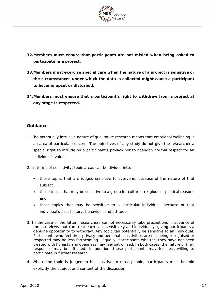

- **32.Members must ensure that participants are not misled when being asked to participate in a project.**
- **33.Members must exercise special care when the nature of a project is sensitive or the circumstances under which the data is collected might cause a participant to become upset or disturbed.**
- **34.Members must ensure that a participant's right to withdraw from a project at any stage is respected.**

- 1. The potentially intrusive nature of qualitative research means that emotional wellbeing is an area of particular concern. The objectives of any study do not give the researcher a special right to intrude on a participant's privacy nor to abandon normal respect for an individual's values.
- 2. In terms of sensitivity, topic areas can be divided into:
	- those topics that are judged sensitive to everyone, because of the nature of that subject
	- those topics that may be sensitive to a group for cultural, religious or political reasons and
	- those topics that may be sensitive to a particular individual, because of that individual's past history, behaviour and attitudes.
- 3. In the case of the latter, researchers cannot necessarily take precautions in advance of the interviews, but can treat each case sensitively and individually, giving participants a genuine opportunity to withdraw. Any topic can potentially be sensitive to an individual. Participants who feel their privacy and personal sensitivities are not being recognised or respected may be less forthcoming. Equally, participants who feel they have not been treated with honesty and openness may feel patronised. In both cases, the nature of their responses may be affected. In addition, these participants may feel less willing to participate in further research.
- 4. Where the topic is judged to be sensitive to most people, participants must be told explicitly the subject and content of the discussion.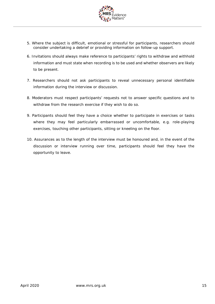

- 5. Where the subject is difficult, emotional or stressful for participants, researchers should consider undertaking a debrief or providing information on follow-up support.
- 6. Invitations should always make reference to participants' rights to withdraw and withhold information and must state when recording is to be used and whether observers are likely to be present.
- 7. Researchers should not ask participants to reveal unnecessary personal identifiable information during the interview or discussion.
- 8. Moderators must respect participants' requests not to answer specific questions and to withdraw from the research exercise if they wish to do so.
- 9. Participants should feel they have a choice whether to participate in exercises or tasks where they may feel particularly embarrassed or uncomfortable, e.g. role-playing exercises, touching other participants, sitting or kneeling on the floor.
- 10. Assurances as to the length of the interview must be honoured and, in the event of the discussion or interview running over time, participants should feel they have the opportunity to leave.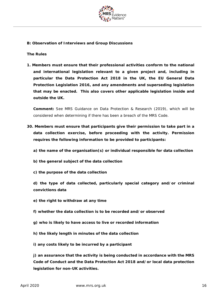

## **B: Observation of Interviews and Group Discussions**

#### **The Rules**

**1. Members must ensure that their professional activities conform to the national and international legislation relevant to a given project and, including in particular the Data Protection Act 2018 in the UK, the EU General Data Protection Legislation 2016, and any amendments and superseding legislation that may be enacted. This also covers other applicable legislation inside and outside the UK.**

**Comment:** See MRS Guidance on Data Protection & Research (2019), which will be considered when determining if there has been a breach of the MRS Code.

- **30. Members must ensure that participants give their permission to take part in a data collection exercise, before proceeding with the activity. Permission requires the following information to be provided to participants:**
	- **a) the name of the organisation(s) or individual responsible for data collection**
	- **b) the general subject of the data collection**
	- **c) the purpose of the data collection**

**d) the type of data collected, particularly special category and/or criminal convictions data**

- **e) the right to withdraw at any time**
- **f) whether the data collection is to be recorded and/or observed**
- **g) who is likely to have access to live or recorded information**
- **h) the likely length in minutes of the data collection**
- **i) any costs likely to be incurred by a participant**

**j) an assurance that the activity is being conducted in accordance with the MRS Code of Conduct and the Data Protection Act 2018 and/or local data protection legislation for non-UK activities.**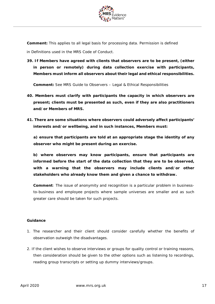

**Comment:** This applies to all legal basis for processing data. Permission is defined

in Definitions used in the MRS Code of Conduct.

**39. If Members have agreed with clients that observers are to be present, (either in person or remotely) during data collection exercise with participants, Members must inform all observers about their legal and ethical responsibilities.**

**Comment:** See MRS Guide to Observers – Legal & Ethical Responsibilities

- **40. Members must clarify with participants the capacity in which observers are present; clients must be presented as such, even if they are also practitioners and/or Members of MRS.**
- **41. There are some situations where observers could adversely affect participants' interests and/or wellbeing, and in such instances, Members must:**

**a) ensure that participants are told at an appropriate stage the identity of any observer who might be present during an exercise.**

**b) where observers may know participants, ensure that participants are informed before the start of the data collection that they are to be observed, with a warning that the observers may include clients and/or other stakeholders who already know them and given a chance to withdraw.**

**Comment**: The issue of anonymity and recognition is a particular problem in businessto-business and employee projects where sample universes are smaller and as such greater care should be taken for such projects.

- 1. The researcher and their client should consider carefully whether the benefits of observation outweigh the disadvantages.
- 2. If the client wishes to observe interviews or groups for quality control or training reasons, then consideration should be given to the other options such as listening to recordings, reading group transcripts or setting up dummy interviews/groups.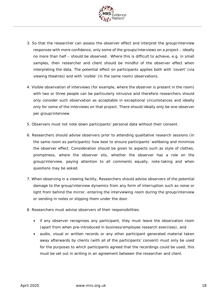

- 3. So that the researcher can assess the observer effect and interpret the group/interview responses with more confidence, only some of the groups/interviews on a project – ideally no more than half – should be observed. Where this is difficult to achieve, e.g. in small samples, then researcher and client should be mindful of the observer effect when interpreting the data. The potential effect on participants applies both with 'covert' (via viewing theatres) and with 'visible' (in the same room) observations.
- 4. Visible observation of interviews (for example, where the observer is present in the room) with two or three people can be particularly intrusive and therefore researchers should only consider such observation as acceptable in exceptional circumstances and ideally only for some of the interviews on that project. There should ideally only be one observer per group/interview.
- 5. Observers must not note down participants' personal data without their consent.
- 6. Researchers should advise observers prior to attending qualitative research sessions (in the same room as participants) how best to ensure participants' wellbeing and minimise the observer effect. Consideration should be given to aspects such as style of clothes, promptness, where the observer sits, whether the observer has a role on the group/interview, paying attention to all comments equally, note-taking and when questions may be asked.
- 7. When observing in a viewing facility, Researchers should advise observers of the potential damage to the group/interview dynamics from any form of interruption such as noise or light from behind the mirror, entering the interviewing room during the group/interview or sending in notes or slipping them under the door.
- 8. Researchers must advise observers of their responsibilities:
	- if any observer recognises any participant, they must leave the observation room (apart from when pre-introduced in business/employee research exercises), and
	- audio, visual or written records or any other participant generated material taken away afterwards by clients (with all of the participants' consent) must only be used for the purposes to which participants agreed that the recordings could be used; this must be set out in writing in an agreement between the researcher and client.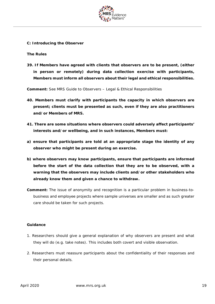

**C: Introducing the Observer**

#### **The Rules**

**39. If Members have agreed with clients that observers are to be present, (either in person or remotely) during data collection exercise with participants, Members must inform all observers about their legal and ethical responsibilities.**

**Comment:** See MRS Guide to Observers – Legal & Ethical Responsibilities

- **40. Members must clarify with participants the capacity in which observers are present; clients must be presented as such, even if they are also practitioners and/or Members of MRS.**
- **41. There are some situations where observers could adversely affect participants' interests and/or wellbeing, and in such instances, Members must:**
- **a) ensure that participants are told at an appropriate stage the identity of any observer who might be present during an exercise.**
- **b) where observers may know participants, ensure that participants are informed before the start of the data collection that they are to be observed, with a warning that the observers may include clients and/or other stakeholders who already know them and given a chance to withdraw.**
- **Comment:** The issue of anonymity and recognition is a particular problem in business-tobusiness and employee projects where sample universes are smaller and as such greater care should be taken for such projects.

- 1. Researchers should give a general explanation of why observers are present and what they will do (e.g. take notes). This includes both covert and visible observation.
- 2. Researchers must reassure participants about the confidentiality of their responses and their personal details.